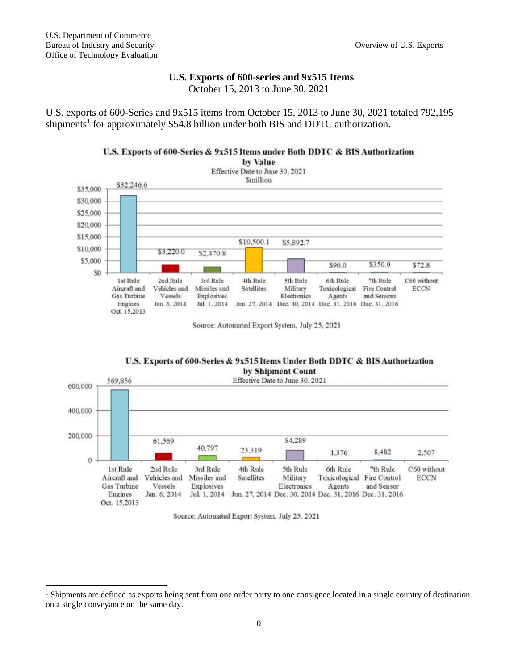## **U.S. Exports of 600-series and 9x515 Items**

October 15, 2013 to June 30, 2021

U.S. exports of 600-Series and 9x515 items from October 15, 2013 to June 30, 2021 totaled 792,195 shipments<sup>1</sup> for approximately \$54.8 billion under both BIS and DDTC authorization.

## U.S. Exports of 600-Series & 9x515 Items under Both DDTC & BIS Authorization



Source: Automated Export System, July 25, 2021





Source: Automated Export System, July 25, 2021

<sup>&</sup>lt;sup>1</sup> Shipments are defined as exports being sent from one order party to one consignee located in a single country of destination on a single conveyance on the same day.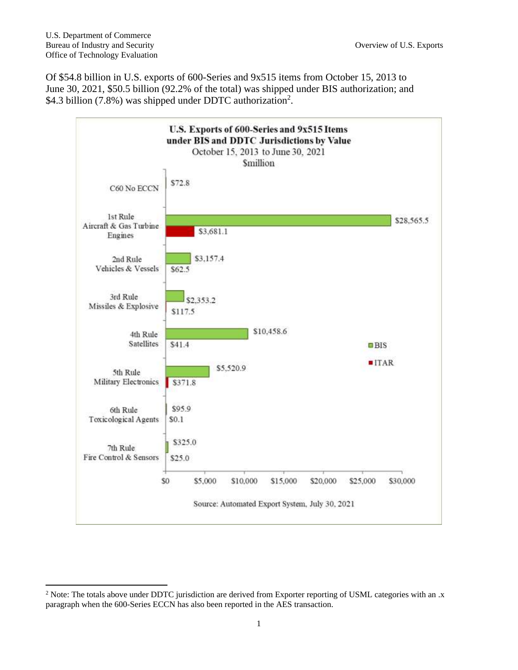Of \$54.8 billion in U.S. exports of 600-Series and 9x515 items from October 15, 2013 to June 30, 2021, \$50.5 billion (92.2% of the total) was shipped under BIS authorization; and \$4.3 billion (7.8%) was shipped under DDTC authorization<sup>2</sup>.



<sup>&</sup>lt;sup>2</sup> Note: The totals above under DDTC jurisdiction are derived from Exporter reporting of USML categories with an .x paragraph when the 600-Series ECCN has also been reported in the AES transaction.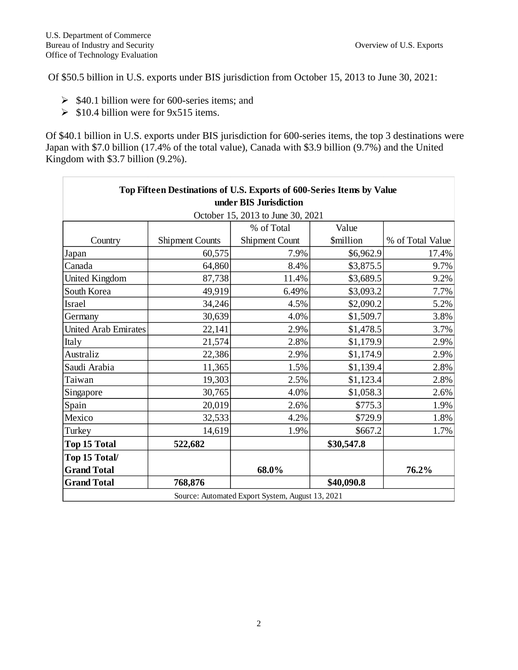Of \$50.5 billion in U.S. exports under BIS jurisdiction from October 15, 2013 to June 30, 2021:

- $\geq$  \$40.1 billion were for 600-series items; and
- $\geq$  \$10.4 billion were for 9x515 items.

Of \$40.1 billion in U.S. exports under BIS jurisdiction for 600-series items, the top 3 destinations were Japan with \$7.0 billion (17.4% of the total value), Canada with \$3.9 billion (9.7%) and the United Kingdom with \$3.7 billion (9.2%).

| Top Fifteen Destinations of U.S. Exports of 600-Series Items by Value |                        |                                                  |                         |                  |
|-----------------------------------------------------------------------|------------------------|--------------------------------------------------|-------------------------|------------------|
| under BIS Jurisdiction                                                |                        |                                                  |                         |                  |
| October 15, 2013 to June 30, 2021                                     |                        |                                                  |                         |                  |
|                                                                       |                        | % of Total                                       | Value                   |                  |
| Country                                                               | <b>Shipment Counts</b> | Shipment Count                                   | <i><b>\$million</b></i> | % of Total Value |
| Japan                                                                 | 60,575                 | 7.9%                                             | \$6,962.9               | 17.4%            |
| Canada                                                                | 64,860                 | 8.4%                                             | \$3,875.5               | 9.7%             |
| United Kingdom                                                        | 87,738                 | 11.4%                                            | \$3,689.5               | 9.2%             |
| South Korea                                                           | 49,919                 | 6.49%                                            | \$3,093.2               | 7.7%             |
| Israel                                                                | 34,246                 | 4.5%                                             | \$2,090.2               | 5.2%             |
| Germany                                                               | 30,639                 | 4.0%                                             | \$1,509.7               | 3.8%             |
| <b>United Arab Emirates</b>                                           | 22,141                 | 2.9%                                             | \$1,478.5               | 3.7%             |
| Italy                                                                 | 21,574                 | 2.8%                                             | \$1,179.9               | 2.9%             |
| Australiz                                                             | 22,386                 | 2.9%                                             | \$1,174.9               | 2.9%             |
| Saudi Arabia                                                          | 11,365                 | 1.5%                                             | \$1,139.4               | 2.8%             |
| Taiwan                                                                | 19,303                 | 2.5%                                             | \$1,123.4               | 2.8%             |
| Singapore                                                             | 30,765                 | 4.0%                                             | \$1,058.3               | 2.6%             |
| Spain                                                                 | 20,019                 | 2.6%                                             | \$775.3                 | 1.9%             |
| Mexico                                                                | 32,533                 | 4.2%                                             | \$729.9                 | 1.8%             |
| Turkey                                                                | 14,619                 | 1.9%                                             | \$667.2                 | 1.7%             |
| <b>Top 15 Total</b>                                                   | 522,682                |                                                  | \$30,547.8              |                  |
| Top 15 Total/                                                         |                        |                                                  |                         |                  |
| <b>Grand Total</b>                                                    |                        | 68.0%                                            |                         | 76.2%            |
| <b>Grand Total</b>                                                    | 768,876                |                                                  | \$40,090.8              |                  |
|                                                                       |                        | Source: Automated Export System, August 13, 2021 |                         |                  |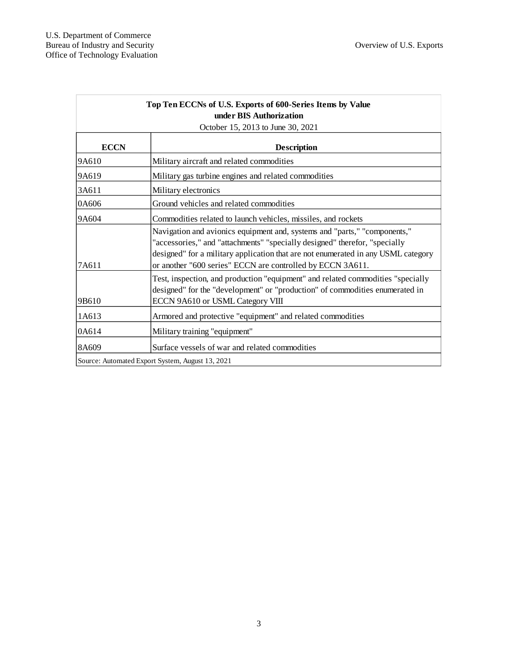| Top Ten ECCNs of U.S. Exports of 600-Series Items by Value |                                                                                                                                                                                                                                                                                                            |  |  |
|------------------------------------------------------------|------------------------------------------------------------------------------------------------------------------------------------------------------------------------------------------------------------------------------------------------------------------------------------------------------------|--|--|
| under BIS Authorization                                    |                                                                                                                                                                                                                                                                                                            |  |  |
| October 15, 2013 to June 30, 2021                          |                                                                                                                                                                                                                                                                                                            |  |  |
| <b>ECCN</b>                                                | <b>Description</b>                                                                                                                                                                                                                                                                                         |  |  |
| 9A610                                                      | Military aircraft and related commodities                                                                                                                                                                                                                                                                  |  |  |
| 9A619                                                      | Military gas turbine engines and related commodities                                                                                                                                                                                                                                                       |  |  |
| 3A611                                                      | Military electronics                                                                                                                                                                                                                                                                                       |  |  |
| 0A606                                                      | Ground vehicles and related commodities                                                                                                                                                                                                                                                                    |  |  |
| 9A604                                                      | Commodities related to launch vehicles, missiles, and rockets                                                                                                                                                                                                                                              |  |  |
| 17A611                                                     | Navigation and avionics equipment and, systems and "parts," "components,"<br>"accessories," and "attachments" "specially designed" therefor, "specially<br>designed" for a military application that are not enumerated in any USML category<br>or another "600 series" ECCN are controlled by ECCN 3A611. |  |  |
| 9B610                                                      | Test, inspection, and production "equipment" and related commodities "specially<br>designed" for the "development" or "production" of commodities enumerated in<br>ECCN 9A610 or USML Category VIII                                                                                                        |  |  |
| 1A613                                                      | Armored and protective "equipment" and related commodities                                                                                                                                                                                                                                                 |  |  |
| 0A614                                                      | Military training "equipment"                                                                                                                                                                                                                                                                              |  |  |
| 8A609                                                      | Surface vessels of war and related commodities                                                                                                                                                                                                                                                             |  |  |
|                                                            | Source: Automated Export System, August 13, 2021                                                                                                                                                                                                                                                           |  |  |